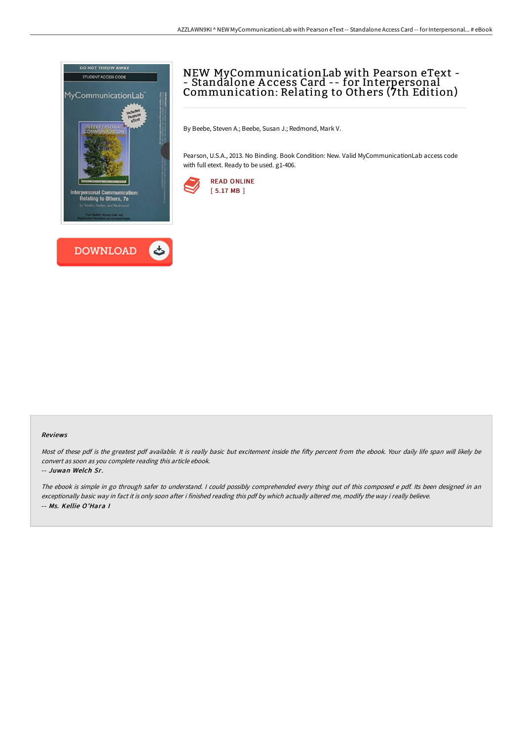



# NEW MyCommunicationLab with Pearson eText - - Standalone A ccess Card -- for Interpersonal Communication: Relating to Others (7th Edition)

By Beebe, Steven A.; Beebe, Susan J.; Redmond, Mark V.

Pearson, U.S.A., 2013. No Binding. Book Condition: New. Valid MyCommunicationLab access code with full etext. Ready to be used. g1-406.



### Reviews

Most of these pdf is the greatest pdf available. It is really basic but excitement inside the fifty percent from the ebook. Your daily life span will likely be convert as soon as you complete reading this article ebook.

### -- Juwan Welch Sr.

The ebook is simple in go through safer to understand. <sup>I</sup> could possibly comprehended every thing out of this composed <sup>e</sup> pdf. Its been designed in an exceptionally basic way in fact it is only soon after i finished reading this pdf by which actually altered me, modify the way i really believe. -- Ms. Kellie O'Hara I